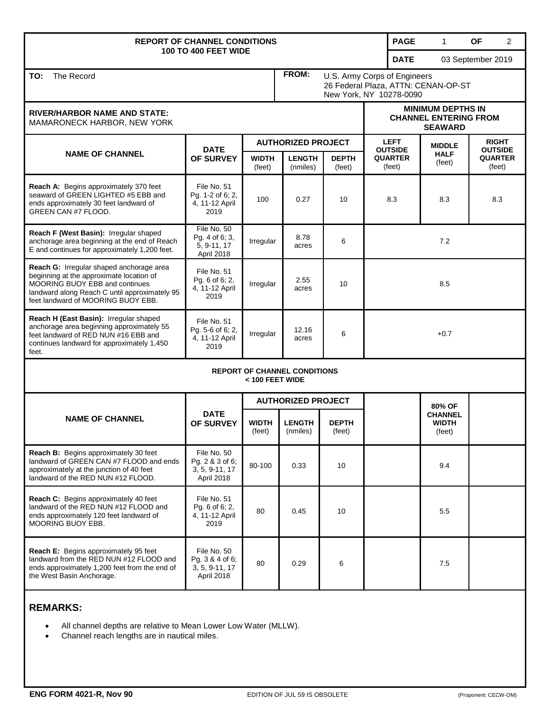| <b>REPORT OF CHANNEL CONDITIONS</b>                                                                                                                                                                           |                                                                |                                                                                                         |                           |                        |                                                                            | <b>PAGE</b>                      | 1                                        | <b>OF</b><br>2                 |  |
|---------------------------------------------------------------------------------------------------------------------------------------------------------------------------------------------------------------|----------------------------------------------------------------|---------------------------------------------------------------------------------------------------------|---------------------------|------------------------|----------------------------------------------------------------------------|----------------------------------|------------------------------------------|--------------------------------|--|
| <b>100 TO 400 FEET WIDE</b>                                                                                                                                                                                   |                                                                |                                                                                                         |                           |                        |                                                                            | <b>DATE</b><br>03 September 2019 |                                          |                                |  |
| TO:<br>The Record                                                                                                                                                                                             |                                                                | FROM:<br>U.S. Army Corps of Engineers<br>26 Federal Plaza, ATTN: CENAN-OP-ST<br>New York, NY 10278-0090 |                           |                        |                                                                            |                                  |                                          |                                |  |
| <b>RIVER/HARBOR NAME AND STATE:</b><br>MAMARONECK HARBOR, NEW YORK                                                                                                                                            |                                                                |                                                                                                         |                           |                        | <b>MINIMUM DEPTHS IN</b><br><b>CHANNEL ENTERING FROM</b><br><b>SEAWARD</b> |                                  |                                          |                                |  |
| <b>NAME OF CHANNEL</b>                                                                                                                                                                                        | <b>DATE</b><br>OF SURVEY                                       | <b>AUTHORIZED PROJECT</b>                                                                               |                           |                        | <b>LEFT</b><br><b>OUTSIDE</b>                                              |                                  | <b>MIDDLE</b><br><b>HALF</b>             | <b>RIGHT</b><br><b>OUTSIDE</b> |  |
|                                                                                                                                                                                                               |                                                                | <b>WIDTH</b><br>(feet)                                                                                  | <b>LENGTH</b><br>(nmiles) | <b>DEPTH</b><br>(feet) | <b>QUARTER</b><br>(feet)                                                   |                                  | (feet)                                   | <b>QUARTER</b><br>(feet)       |  |
| <b>Reach A: Begins approximately 370 feet</b><br>seaward of GREEN LIGHTED #5 EBB and<br>ends approximately 30 feet landward of<br>GREEN CAN #7 FLOOD.                                                         | File No. 51<br>Pg. 1-2 of 6; 2,<br>4, 11-12 April<br>2019      | 100                                                                                                     | 0.27                      | 10                     | 8.3                                                                        |                                  | 8.3                                      | 8.3                            |  |
| Reach F (West Basin): Irregular shaped<br>anchorage area beginning at the end of Reach<br>E and continues for approximately 1,200 feet.                                                                       | File No. 50<br>Pg. 4 of 6; 3,<br>5, 9-11, 17<br>April 2018     | Irregular                                                                                               | 8.78<br>acres             | 6                      | 7.2                                                                        |                                  |                                          |                                |  |
| Reach G: Irregular shaped anchorage area<br>beginning at the approximate location of<br>MOORING BUOY EBB and continues<br>landward along Reach C until approximately 95<br>feet landward of MOORING BUOY EBB. | File No. 51<br>Pg. 6 of 6; 2,<br>4, 11-12 April<br>2019        | Irregular                                                                                               | 2.55<br>acres             | 10                     | 8.5                                                                        |                                  |                                          |                                |  |
| Reach H (East Basin): Irregular shaped<br>anchorage area beginning approximately 55<br>feet landward of RED NUN #16 EBB and<br>continues landward for approximately 1,450<br>feet.                            | File No. 51<br>Pg. 5-6 of 6; 2,<br>4, 11-12 April<br>2019      | Irregular                                                                                               | 12.16<br>acres            | 6                      | $+0.7$                                                                     |                                  |                                          |                                |  |
| <b>REPORT OF CHANNEL CONDITIONS</b><br>< 100 FEET WIDE                                                                                                                                                        |                                                                |                                                                                                         |                           |                        |                                                                            |                                  |                                          |                                |  |
| <b>NAME OF CHANNEL</b>                                                                                                                                                                                        | <b>DATE</b><br><b>OF SURVEY</b>                                | <b>AUTHORIZED PROJECT</b>                                                                               |                           |                        |                                                                            | 80% OF                           |                                          |                                |  |
|                                                                                                                                                                                                               |                                                                | <b>WIDTH</b><br>(feet)                                                                                  | <b>LENGTH</b><br>(nmiles) | <b>DEPTH</b><br>(feet) |                                                                            |                                  | <b>CHANNEL</b><br><b>WIDTH</b><br>(feet) |                                |  |
| <b>Reach B:</b> Begins approximately 30 feet<br>landward of GREEN CAN #7 FLOOD and ends<br>approximately at the junction of 40 feet<br>landward of the RED NUN #12 FLOOD.                                     | File No. 50<br>Pg. 2 & 3 of 6;<br>3, 5, 9-11, 17<br>April 2018 | 80-100                                                                                                  | 0.33                      | 10                     |                                                                            |                                  | 9.4                                      |                                |  |
| <b>Reach C:</b> Begins approximately 40 feet<br>landward of the RED NUN #12 FLOOD and<br>ends approximately 120 feet landward of<br><b>MOORING BUOY EBB.</b>                                                  | File No. 51<br>Pg. 6 of 6; 2,<br>4, 11-12 April<br>2019        | 80                                                                                                      | 0.45                      | 10                     |                                                                            |                                  | 5.5                                      |                                |  |
| <b>Reach E:</b> Begins approximately 95 feet<br>landward from the RED NUN #12 FLOOD and<br>ends approximately 1,200 feet from the end of<br>the West Basin Anchorage.                                         | File No. 50<br>Pg. 3 & 4 of 6;<br>3, 5, 9-11, 17<br>April 2018 | 80                                                                                                      | 0.29                      | 6                      |                                                                            |                                  | 7.5                                      |                                |  |

## **REMARKS:**

- All channel depths are relative to Mean Lower Low Water (MLLW).
- Channel reach lengths are in nautical miles.